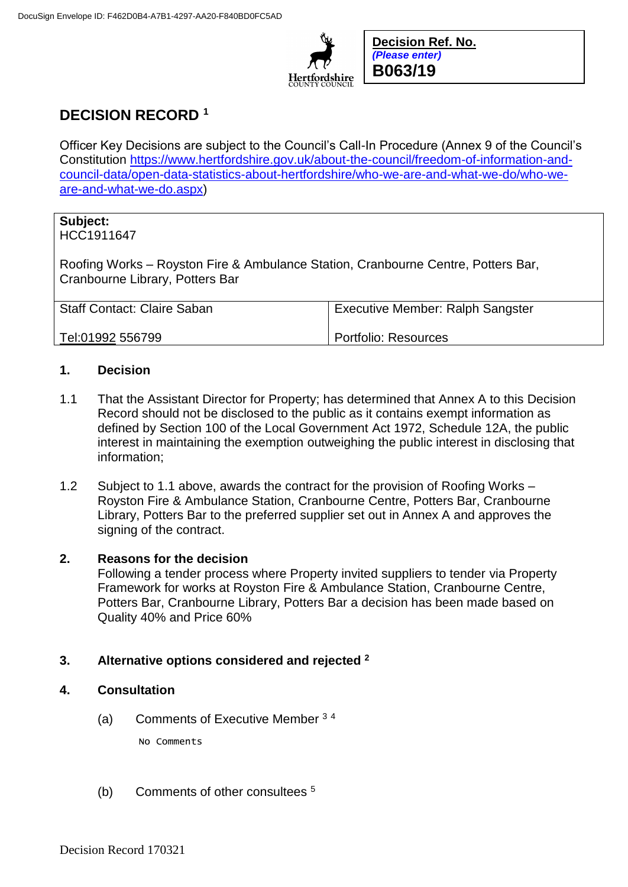

**Decision Ref. No.** *(Please enter)* **B063/19**

# **DECISION RECORD <sup>1</sup>**

Officer Key Decisions are subject to the Council's Call-In Procedure (Annex 9 of the Council's Constitution [https://www.hertfordshire.gov.uk/about-the-council/freedom-of-information-and](https://www.hertfordshire.gov.uk/about-the-council/freedom-of-information-and-council-data/open-data-statistics-about-hertfordshire/who-we-are-and-what-we-do/who-we-are-and-what-we-do.aspx)[council-data/open-data-statistics-about-hertfordshire/who-we-are-and-what-we-do/who-we](https://www.hertfordshire.gov.uk/about-the-council/freedom-of-information-and-council-data/open-data-statistics-about-hertfordshire/who-we-are-and-what-we-do/who-we-are-and-what-we-do.aspx)[are-and-what-we-do.aspx\)](https://www.hertfordshire.gov.uk/about-the-council/freedom-of-information-and-council-data/open-data-statistics-about-hertfordshire/who-we-are-and-what-we-do/who-we-are-and-what-we-do.aspx)

# **Subject:**

HCC1911647

Roofing Works – Royston Fire & Ambulance Station, Cranbourne Centre, Potters Bar, Cranbourne Library, Potters Bar

| <b>Staff Contact: Claire Saban</b> | <b>Executive Member: Ralph Sangster</b> |
|------------------------------------|-----------------------------------------|
| Tel:01992 556799                   | Portfolio: Resources                    |

### **1. Decision**

- 1.1 That the Assistant Director for Property; has determined that Annex A to this Decision Record should not be disclosed to the public as it contains exempt information as defined by Section 100 of the Local Government Act 1972, Schedule 12A, the public interest in maintaining the exemption outweighing the public interest in disclosing that information;
- 1.2 Subject to 1.1 above, awards the contract for the provision of Roofing Works Royston Fire & Ambulance Station, Cranbourne Centre, Potters Bar, Cranbourne Library, Potters Bar to the preferred supplier set out in Annex A and approves the signing of the contract.

## **2. Reasons for the decision**

Following a tender process where Property invited suppliers to tender via Property Framework for works at Royston Fire & Ambulance Station, Cranbourne Centre, Potters Bar, Cranbourne Library, Potters Bar a decision has been made based on Quality 40% and Price 60%

## **3. Alternative options considered and rejected <sup>2</sup>**

### **4. Consultation**

(a) Comments of Executive Member  $34$ 

No Comments

(b) Comments of other consultees <sup>5</sup>